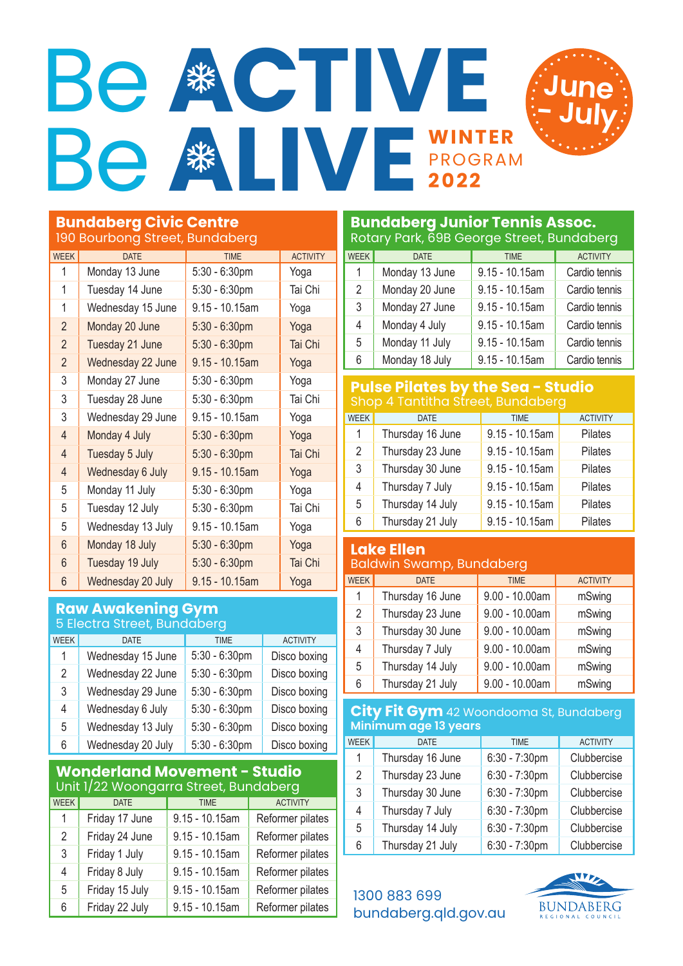# **WINTER** PROGRAM Be **ACTIVE** Be **WE**



| <b>WEEK</b>    | <b>DATE</b>       | <b>TIME</b>       | <b>ACTIVITY</b> |
|----------------|-------------------|-------------------|-----------------|
| 1              | Monday 13 June    | 5:30 - 6:30pm     | Yoga            |
| 1              | Tuesday 14 June   | $5:30 - 6:30$ pm  | Tai Chi         |
| 1              | Wednesday 15 June | 9.15 - 10.15am    | Yoga            |
| $\overline{2}$ | Monday 20 June    | $5:30 - 6:30$ pm  | Yoga            |
| $\overline{2}$ | Tuesday 21 June   | $5:30 - 6:30$ pm  | Tai Chi         |
| $\overline{2}$ | Wednesday 22 June | $9.15 - 10.15$ am | Yoga            |
| 3              | Monday 27 June    | 5:30 - 6:30pm     | Yoga            |
| 3              | Tuesday 28 June   | $5:30 - 6:30$ pm  | Tai Chi         |
| 3              | Wednesday 29 June | 9.15 - 10.15am    | Yoga            |
| $\overline{4}$ | Monday 4 July     | $5:30 - 6:30$ pm  | Yoga            |
| $\overline{4}$ | Tuesday 5 July    | $5:30 - 6:30$ pm  | Tai Chi         |
| $\overline{4}$ | Wednesday 6 July  | $9.15 - 10.15$ am | Yoga            |
| 5              | Monday 11 July    | $5:30 - 6:30$ pm  | Yoga            |
| 5              | Tuesday 12 July   | 5:30 - 6:30pm     | Tai Chi         |
| 5              | Wednesday 13 July | 9.15 - 10.15am    | Yoga            |
| 6              | Monday 18 July    | $5:30 - 6:30$ pm  | Yoga            |
| 6              | Tuesday 19 July   | $5:30 - 6:30$ pm  | Tai Chi         |
| 6              | Wednesday 20 July | $9.15 - 10.15$ am | Yoga            |

# **Raw Awakening Gym**

| 5 Electra Street, Bundaberg |                   |                  |                 |  |
|-----------------------------|-------------------|------------------|-----------------|--|
| <b>WEEK</b>                 | <b>DATE</b>       | <b>TIME</b>      | <b>ACTIVITY</b> |  |
| 1                           | Wednesday 15 June | $5:30 - 6:30$ pm | Disco boxing    |  |
| $\overline{2}$              | Wednesday 22 June | $5:30 - 6:30$ pm | Disco boxing    |  |
| 3                           | Wednesday 29 June | $5:30 - 6:30$ pm | Disco boxing    |  |
| 4                           | Wednesday 6 July  | $5:30 - 6:30$ pm | Disco boxing    |  |
| 5                           | Wednesday 13 July | $5:30 - 6:30$ pm | Disco boxing    |  |
| 6                           | Wednesday 20 July | $5:30 - 6:30$ pm | Disco boxing    |  |

#### **Wonderland Movement - Studio** Unit 1/22 Woongarra Street, Bundaberg

| <b>WEEK</b>    | <b>DATE</b>    | <b>TIME</b>       | <b>ACTIVITY</b>  |  |
|----------------|----------------|-------------------|------------------|--|
| $\mathbf{1}$   | Friday 17 June | $9.15 - 10.15$ am | Reformer pilates |  |
| $\overline{2}$ | Friday 24 June | $9.15 - 10.15$ am | Reformer pilates |  |
| 3              | Friday 1 July  | $9.15 - 10.15$ am | Reformer pilates |  |
| 4              | Friday 8 July  | $9.15 - 10.15$ am | Reformer pilates |  |
| 5              | Friday 15 July | $9.15 - 10.15$ am | Reformer pilates |  |
| 6              | Friday 22 July | $9.15 - 10.15$ am | Reformer pilates |  |

# **Bundaberg Junior Tennis Assoc.** Rotary Park, 69B George Street, Bundaberg WEEK DATE TIME TERRY ACTIVITY 1 | Monday 13 June | 9.15 - 10.15am | Cardio tennis 2 | Monday 20 June | 9.15 - 10.15am | Cardio tennis 3 | Monday 27 June | 9.15 - 10.15am | Cardio tennis Monday 4 July 9.15 - 10.15am Cardio tennis 5 | Monday 11 July | 9.15 - 10.15am | Cardio tennis Monday 18 July 9.15 - 10.15am Cardio tennis

**June**

**- July** 

### **Pulse Pilates by the Sea - Studio** Shop 4 Tantitha Street, Bundaberg

| <b>WEEK</b> | <b>DATE</b>      | <b>TIME</b>       | <b>ACTIVITY</b> |
|-------------|------------------|-------------------|-----------------|
| 1           | Thursday 16 June | $9.15 - 10.15$ am | Pilates         |
| 2           | Thursday 23 June | $9.15 - 10.15$ am | Pilates         |
| 3           | Thursday 30 June | $9.15 - 10.15$ am | Pilates         |
| 4           | Thursday 7 July  | $9.15 - 10.15$ am | Pilates         |
| 5           | Thursday 14 July | $9.15 - 10.15$ am | Pilates         |
| 6           | Thursday 21 July | $9.15 - 10.15$ am | Pilates         |

#### **Lake Ellen** Baldwin Swamp, Bundaberg

| <b>WEEK</b>    | <b>DATE</b>      | <b>TIME</b>      | <b>ACTIVITY</b> |  |
|----------------|------------------|------------------|-----------------|--|
| 1              | Thursday 16 June | $9.00 - 10.00am$ | mSwing          |  |
| $\overline{2}$ | Thursday 23 June | $9.00 - 10.00am$ | mSwing          |  |
| 3              | Thursday 30 June | $9.00 - 10.00am$ | mSwing          |  |
| 4              | Thursday 7 July  | $9.00 - 10.00am$ | mSwing          |  |
| 5              | Thursday 14 July | $9.00 - 10.00am$ | mSwing          |  |
| 6              | Thursday 21 July | $9.00 - 10.00am$ | mSwing          |  |
|                |                  |                  |                 |  |

# **City Fit Gym** 42 Woondooma St, Bundaberg **Minimum age 13 years**

| WEEK           | <b>DATE</b>      | <b>TIME</b>      | <b>ACTIVITY</b> |
|----------------|------------------|------------------|-----------------|
| 1              | Thursday 16 June | $6:30 - 7:30$ pm | Clubbercise     |
| $\overline{2}$ | Thursday 23 June | 6:30 - 7:30pm    | Clubbercise     |
| 3              | Thursday 30 June | 6:30 - 7:30pm    | Clubbercise     |
| 4              | Thursday 7 July  | $6:30 - 7:30$ pm | Clubbercise     |
| 5              | Thursday 14 July | 6:30 - 7:30pm    | Clubbercise     |
| 6              | Thursday 21 July | 6:30 - 7:30pm    | Clubbercise     |

# 1300 883 699 bundaberg.qld.gov.au